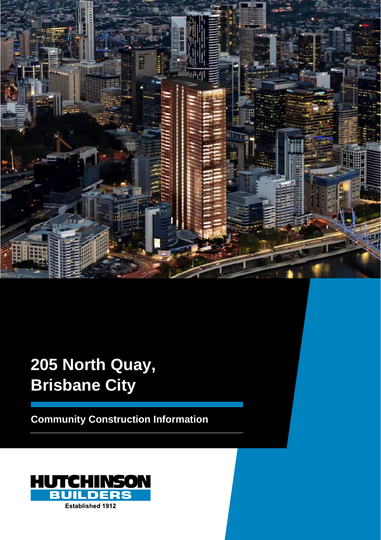

# **205 North Quay, Brisbane City**

**Community Construction Information**

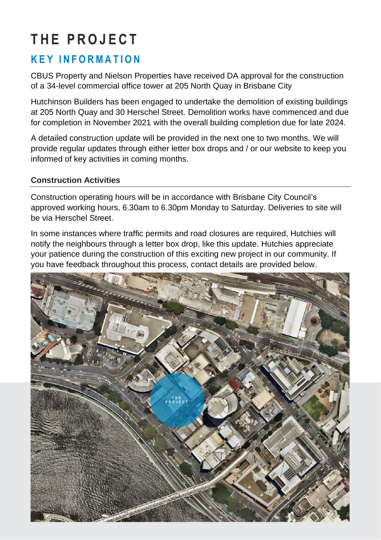## **T H E P R O J E C T**

### **K E Y I N F O R M A T I O N**

CBUS Property and Nielson Properties have received DA approval for the construction of a 34-level commercial office tower at 205 North Quay in Brisbane City

Hutchinson Builders has been engaged to undertake the demolition of existing buildings at 205 North Quay and 30 Herschel Street. Demolition works have commenced and due for completion in November 2021 with the overall building completion due for late 2024.

A detailed construction update will be provided in the next one to two months. We will provide regular updates through either letter box drops and / or our website to keep you informed of key activities in coming months.

#### **Construction Activities**

Construction operating hours will be in accordance with Brisbane City Council's approved working hours, 6.30am to 6.30pm Monday to Saturday. Deliveries to site will be via Herschel Street.

In some instances where traffic permits and road closures are required, Hutchies will notify the neighbours through a letter box drop, like this update. Hutchies appreciate your patience during the construction of this exciting new project in our community. If you have feedback throughout this process, contact details are provided below.

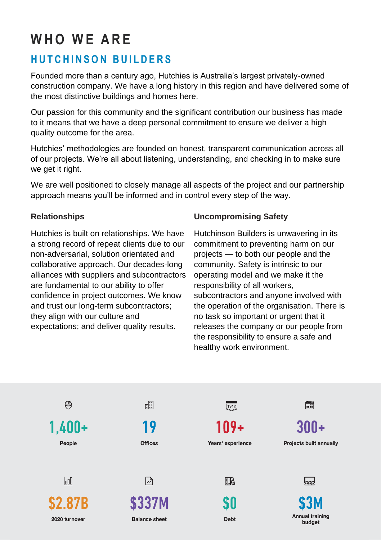## **W H O W E A R E**

## **HUTCHINSON BUILDERS**

Founded more than a century ago, Hutchies is Australia's largest privately-owned construction company. We have a long history in this region and have delivered some of the most distinctive buildings and homes here.

Our passion for this community and the significant contribution our business has made to it means that we have a deep personal commitment to ensure we deliver a high quality outcome for the area.

Hutchies' methodologies are founded on honest, transparent communication across all of our projects. We're all about listening, understanding, and checking in to make sure we get it right.

We are well positioned to closely manage all aspects of the project and our partnership approach means you'll be informed and in control every step of the way.

#### **Relationships**

Hutchies is built on relationships. We have a strong record of repeat clients due to our non-adversarial, solution orientated and collaborative approach. Our decades-long alliances with suppliers and subcontractors are fundamental to our ability to offer confidence in project outcomes. We know and trust our long-term subcontractors; they align with our culture and expectations; and deliver quality results.

#### **Uncompromising Safety**

Hutchinson Builders is unwavering in its commitment to preventing harm on our projects — to both our people and the community. Safety is intrinsic to our operating model and we make it the responsibility of all workers, subcontractors and anyone involved with the operation of the organisation. There is no task so important or urgent that it releases the company or our people from the responsibility to ensure a safe and healthy work environment.